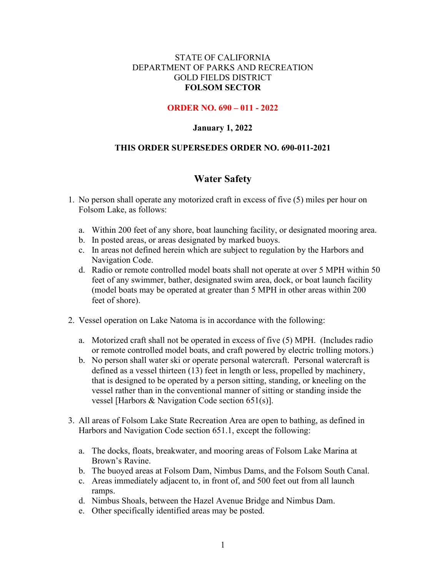## STATE OF CALIFORNIA DEPARTMENT OF PARKS AND RECREATION GOLD FIELDS DISTRICT **FOLSOM SECTOR**

### **ORDER NO. 690 – 011 - 2022**

### **January 1, 2022**

### **THIS ORDER SUPERSEDES ORDER NO. 690-011-2021**

# **Water Safety**

- 1. No person shall operate any motorized craft in excess of five (5) miles per hour on Folsom Lake, as follows:
	- a. Within 200 feet of any shore, boat launching facility, or designated mooring area.
	- b. In posted areas, or areas designated by marked buoys.
	- c. In areas not defined herein which are subject to regulation by the Harbors and Navigation Code.
	- d. Radio or remote controlled model boats shall not operate at over 5 MPH within 50 feet of any swimmer, bather, designated swim area, dock, or boat launch facility (model boats may be operated at greater than 5 MPH in other areas within 200 feet of shore).
- 2. Vessel operation on Lake Natoma is in accordance with the following:
	- a. Motorized craft shall not be operated in excess of five (5) MPH. (Includes radio or remote controlled model boats, and craft powered by electric trolling motors.)
	- b. No person shall water ski or operate personal watercraft. Personal watercraft is defined as a vessel thirteen (13) feet in length or less, propelled by machinery, that is designed to be operated by a person sitting, standing, or kneeling on the vessel rather than in the conventional manner of sitting or standing inside the vessel [Harbors & Navigation Code section 651(s)].
- 3. All areas of Folsom Lake State Recreation Area are open to bathing, as defined in Harbors and Navigation Code section 651.1, except the following:
	- a. The docks, floats, breakwater, and mooring areas of Folsom Lake Marina at Brown's Ravine.
	- b. The buoyed areas at Folsom Dam, Nimbus Dams, and the Folsom South Canal.
	- c. Areas immediately adjacent to, in front of, and 500 feet out from all launch ramps.
	- d. Nimbus Shoals, between the Hazel Avenue Bridge and Nimbus Dam.
	- e. Other specifically identified areas may be posted.